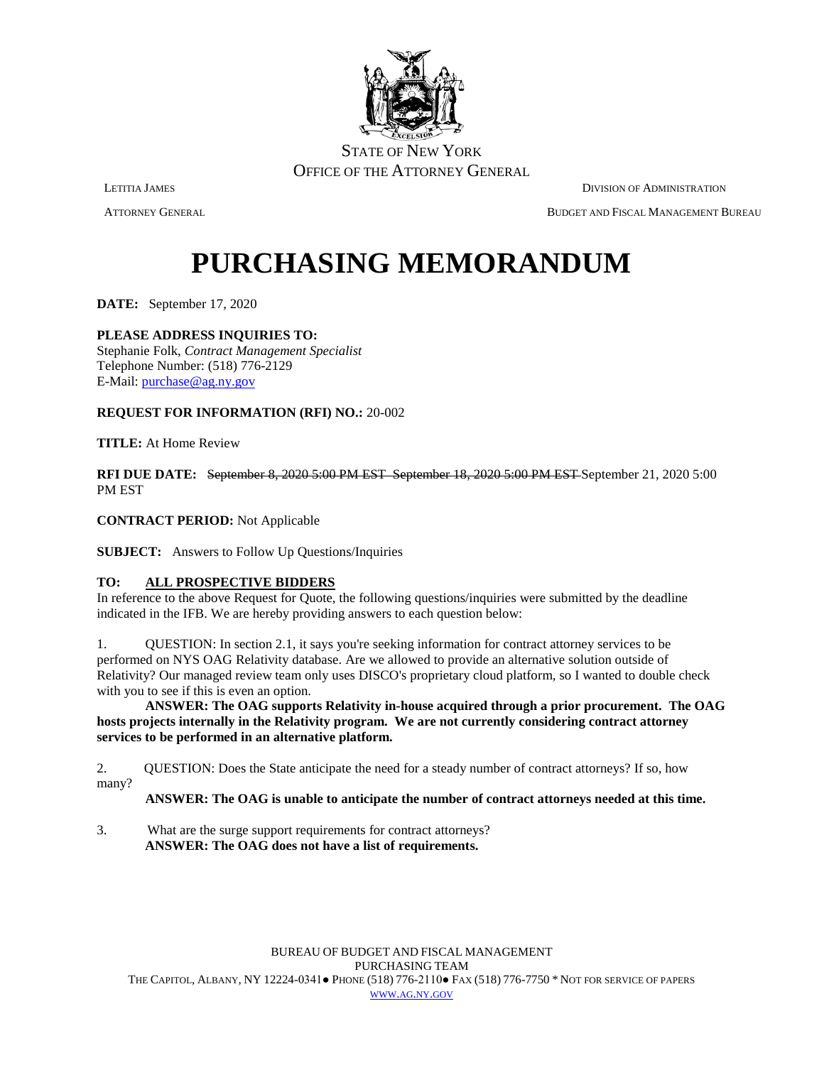

ATTORNEY GENERAL BUDGET AND FISCAL MANAGEMENT BUREAU

# **PURCHASING MEMORANDUM**

**DATE:** September 17, 2020

### **PLEASE ADDRESS INQUIRIES TO:**

Stephanie Folk, *Contract Management Specialist* Telephone Number: (518) 776-2129 E-Mail: [purchase@ag.ny.gov](mailto:purchase@ag.ny.gov)

#### **REQUEST FOR INFORMATION (RFI) NO.:** 20-002

**TITLE:** At Home Review

**RFI DUE DATE:** September 8, 2020 5:00 PM EST September 18, 2020 5:00 PM EST September 21, 2020 5:00 PM EST

**CONTRACT PERIOD:** Not Applicable

**SUBJECT:** Answers to Follow Up Questions/Inquiries

#### **TO: ALL PROSPECTIVE BIDDERS**

In reference to the above Request for Quote, the following questions/inquiries were submitted by the deadline indicated in the IFB. We are hereby providing answers to each question below:

1. QUESTION: In section 2.1, it says you're seeking information for contract attorney services to be performed on NYS OAG Relativity database. Are we allowed to provide an alternative solution outside of Relativity? Our managed review team only uses DISCO's proprietary cloud platform, so I wanted to double check with you to see if this is even an option.

**ANSWER: The OAG supports Relativity in-house acquired through a prior procurement. The OAG hosts projects internally in the Relativity program. We are not currently considering contract attorney services to be performed in an alternative platform.** 

2. QUESTION: Does the State anticipate the need for a steady number of contract attorneys? If so, how many?

#### **ANSWER: The OAG is unable to anticipate the number of contract attorneys needed at this time.**

3. What are the surge support requirements for contract attorneys? **ANSWER: The OAG does not have a list of requirements.**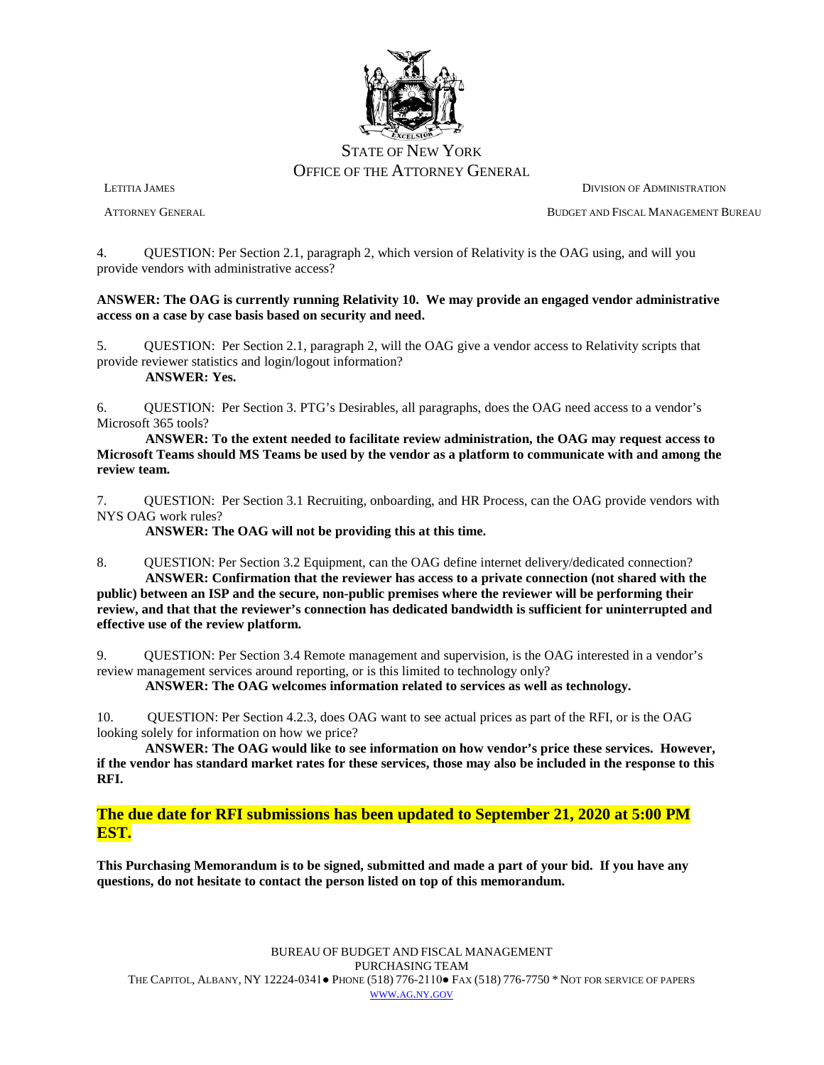

LETITIA JAMES DIVISION OF ADMINISTRATION ATTORNEY GENERAL BUDGET AND FISCAL MANAGEMENT BUREAU

4. QUESTION: Per Section 2.1, paragraph 2, which version of Relativity is the OAG using, and will you provide vendors with administrative access?

#### **ANSWER: The OAG is currently running Relativity 10. We may provide an engaged vendor administrative access on a case by case basis based on security and need.**

5. QUESTION: Per Section 2.1, paragraph 2, will the OAG give a vendor access to Relativity scripts that provide reviewer statistics and login/logout information? **ANSWER: Yes.**

6. QUESTION: Per Section 3. PTG's Desirables, all paragraphs, does the OAG need access to a vendor's Microsoft 365 tools?

**ANSWER: To the extent needed to facilitate review administration, the OAG may request access to Microsoft Teams should MS Teams be used by the vendor as a platform to communicate with and among the review team.**

7. QUESTION: Per Section 3.1 Recruiting, onboarding, and HR Process, can the OAG provide vendors with NYS OAG work rules?

**ANSWER: The OAG will not be providing this at this time.**

8. QUESTION: Per Section 3.2 Equipment, can the OAG define internet delivery/dedicated connection? **ANSWER: Confirmation that the reviewer has access to a private connection (not shared with the public) between an ISP and the secure, non-public premises where the reviewer will be performing their review, and that that the reviewer's connection has dedicated bandwidth is sufficient for uninterrupted and effective use of the review platform.**

9. QUESTION: Per Section 3.4 Remote management and supervision, is the OAG interested in a vendor's review management services around reporting, or is this limited to technology only?

**ANSWER: The OAG welcomes information related to services as well as technology.** 

10. QUESTION: Per Section 4.2.3, does OAG want to see actual prices as part of the RFI, or is the OAG looking solely for information on how we price?

**ANSWER: The OAG would like to see information on how vendor's price these services. However, if the vendor has standard market rates for these services, those may also be included in the response to this RFI.**

**The due date for RFI submissions has been updated to September 21, 2020 at 5:00 PM EST.**

**This Purchasing Memorandum is to be signed, submitted and made a part of your bid. If you have any questions, do not hesitate to contact the person listed on top of this memorandum.**